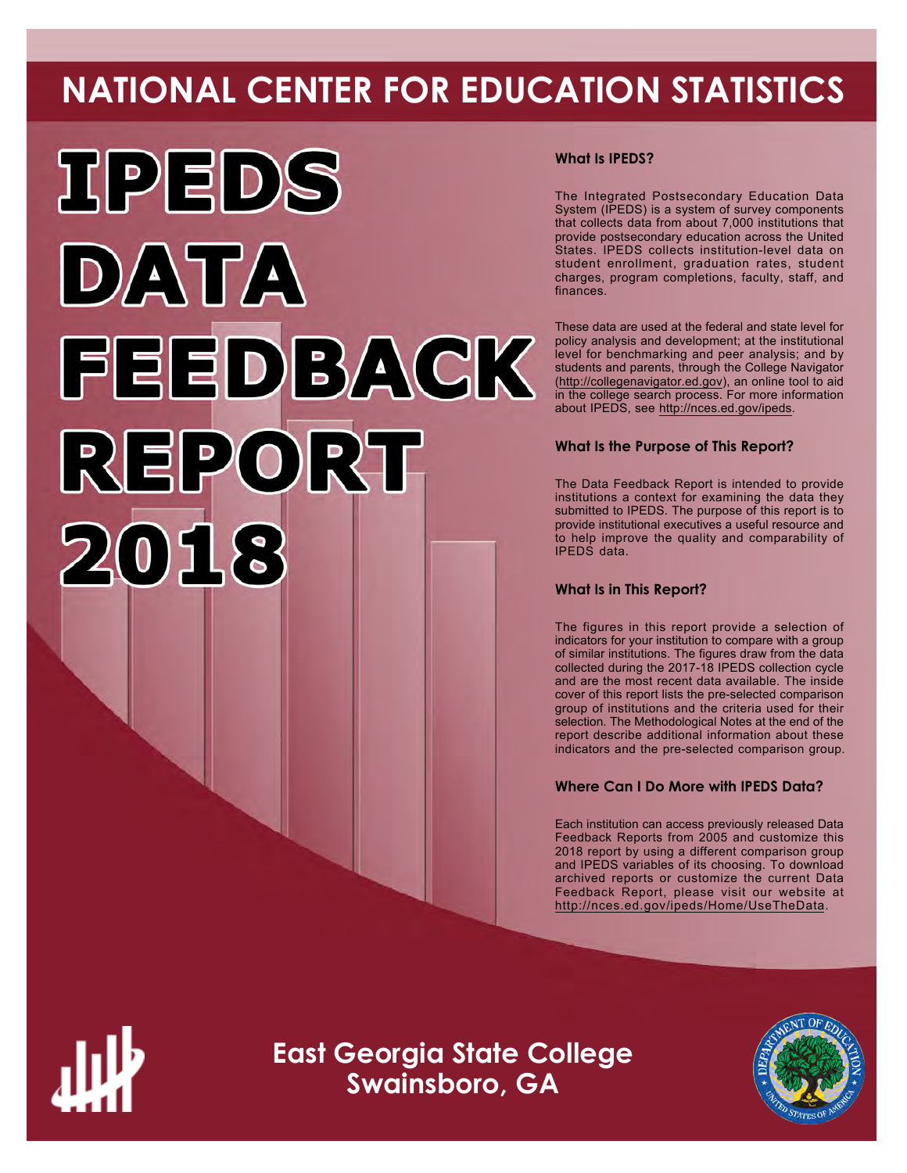# **NATIONAL CENTER FOR EDUCATION STATISTICS**



# **What Is IPEDS?**

The Integrated Postsecondary Education Data System (IPEDS) is a system of survey components that collects data from about 7,000 institutions that provide postsecondary education across the United States. IPEDS collects institution-level data on student enrollment, graduation rates, student charges, program completions, faculty, staff, and finances.

These data are used at the federal and state level for policy analysis and development; at the institutional level for benchmarking and peer analysis; and by students and parents, through the College Navigator ([http://collegenavigator.ed.gov\)](http://collegenavigator.ed.gov), an online tool to aid in the college search process. For more information about IPEDS, see [http://nces.ed.gov/ipeds.](http://nces.ed.gov/ipeds)

# **What Is the Purpose of This Report?**

The Data Feedback Report is intended to provide institutions a context for examining the data they submitted to IPEDS. The purpose of this report is to provide institutional executives a useful resource and to help improve the quality and comparability of IPEDS data.

# **What Is in This Report?**

The figures in this report provide a selection of indicators for your institution to compare with a group of similar institutions. The figures draw from the data collected during the 2017-18 IPEDS collection cycle and are the most recent data available. The inside cover of this report lists the pre-selected comparison group of institutions and the criteria used for their selection. The Methodological Notes at the end of the report describe additional information about these indicators and the pre-selected comparison group.

# **Where Can I Do More with IPEDS Data?**

Each institution can access previously released Data Feedback Reports from 2005 and customize this 2018 report by using a different comparison group and IPEDS variables of its choosing. To download archived reports or customize the current Data Feedback Report, please visit our website at <http://nces.ed.gov/ipeds/Home/UseTheData>.



**East Georgia State College Swainsboro, GA**

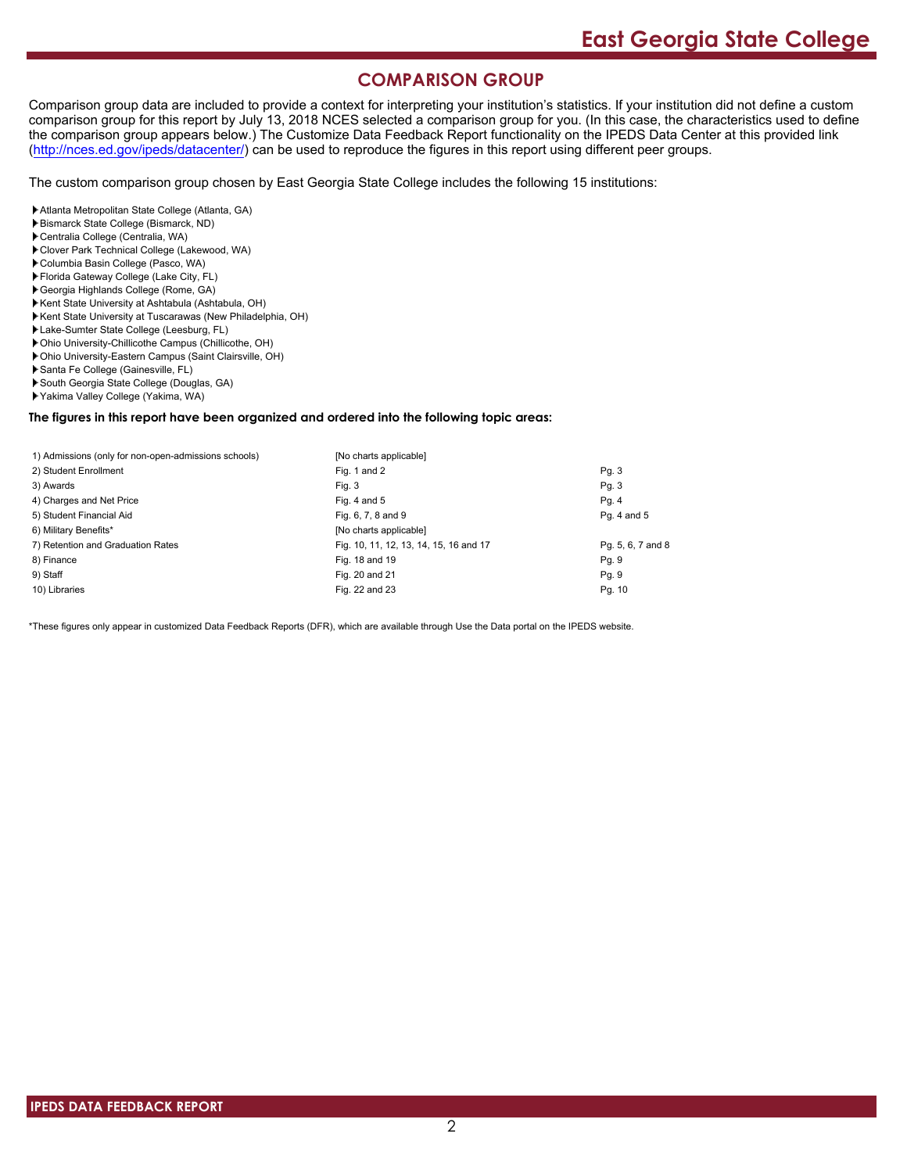# **COMPARISON GROUP**

Comparison group data are included to provide a context for interpreting your institution's statistics. If your institution did not define a custom comparison group for this report by July 13, 2018 NCES selected a comparison group for you. (In this case, the characteristics used to define the comparison group appears below.) The Customize Data Feedback Report functionality on the IPEDS Data Center at this provided link [\(http://nces.ed.gov/ipeds/datacenter/\)](http://nces.ed.gov/ipeds/datacenter/) can be used to reproduce the figures in this report using different peer groups.

The custom comparison group chosen by East Georgia State College includes the following 15 institutions:

Atlanta Metropolitan State College (Atlanta, GA)

- Bismarck State College (Bismarck, ND)
- Centralia College (Centralia, WA)
- Clover Park Technical College (Lakewood, WA)
- Columbia Basin College (Pasco, WA)
- Florida Gateway College (Lake City, FL)
- Georgia Highlands College (Rome, GA)
- Kent State University at Ashtabula (Ashtabula, OH)
- Kent State University at Tuscarawas (New Philadelphia, OH)
- Lake-Sumter State College (Leesburg, FL)
- Ohio University-Chillicothe Campus (Chillicothe, OH)
- Ohio University-Eastern Campus (Saint Clairsville, OH)
- Santa Fe College (Gainesville, FL)
- South Georgia State College (Douglas, GA)
- Yakima Valley College (Yakima, WA)

#### **The figures in this report have been organized and ordered into the following topic areas:**

| 1) Admissions (only for non-open-admissions schools) | [No charts applicable]                 |                   |
|------------------------------------------------------|----------------------------------------|-------------------|
| 2) Student Enrollment                                | Fig. 1 and 2                           | Pg. 3             |
| 3) Awards                                            | Fig. 3                                 | Pg. 3             |
| 4) Charges and Net Price                             | Fig. 4 and $5$                         | Pg. 4             |
| 5) Student Financial Aid                             | Fig. 6, 7, 8 and 9                     | Pg. 4 and 5       |
| 6) Military Benefits*                                | [No charts applicable]                 |                   |
| 7) Retention and Graduation Rates                    | Fig. 10, 11, 12, 13, 14, 15, 16 and 17 | Pg. 5, 6, 7 and 8 |
| 8) Finance                                           | Fig. 18 and 19                         | Pg. 9             |
| 9) Staff                                             | Fig. 20 and 21                         | Pg. 9             |
| 10) Libraries                                        | Fig. 22 and 23                         | Pg. 10            |

\*These figures only appear in customized Data Feedback Reports (DFR), which are available through Use the Data portal on the IPEDS website.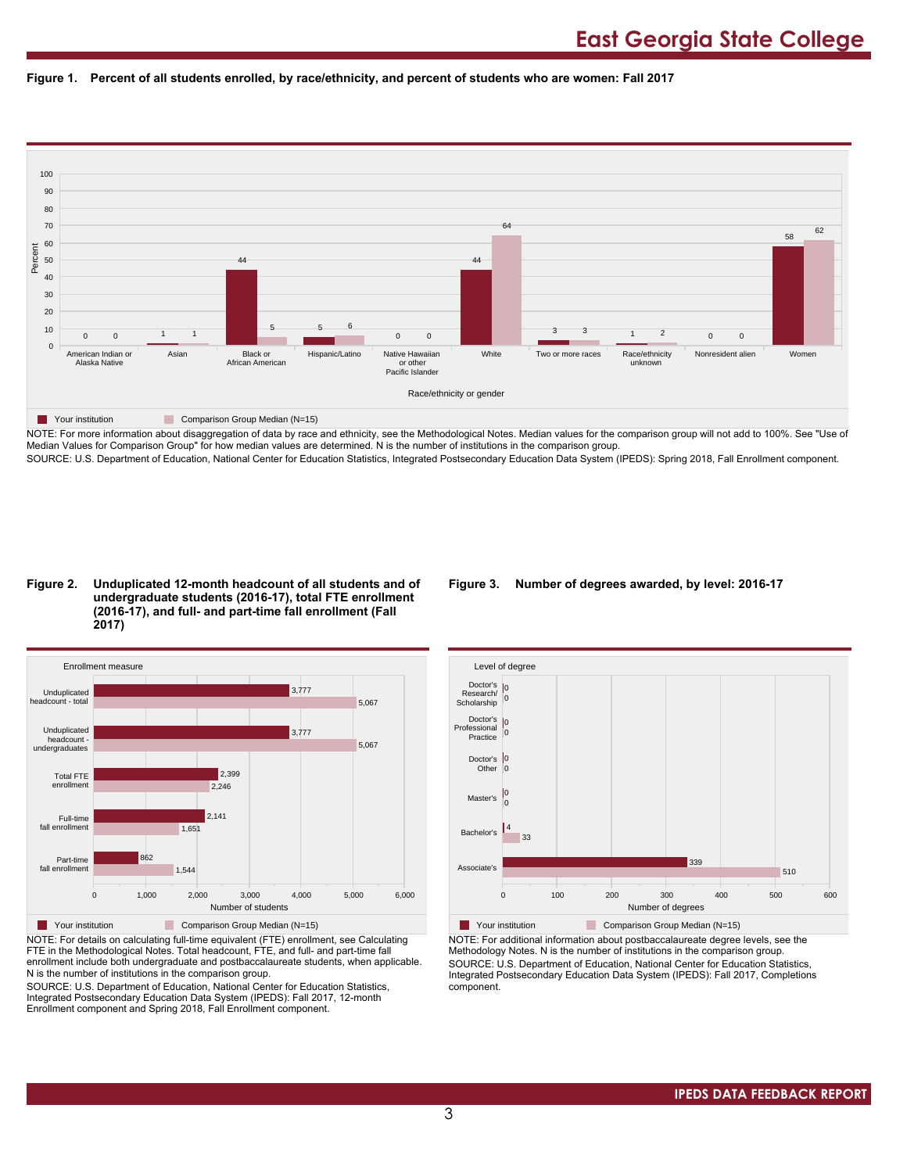



NOTE: For more information about disaggregation of data by race and ethnicity, see the Methodological Notes. Median values for the comparison group will not add to 100%. See "Use of Median Values for Comparison Group" for how median values are determined. N is the number of institutions in the comparison group. SOURCE: U.S. Department of Education, National Center for Education Statistics, Integrated Postsecondary Education Data System (IPEDS): Spring 2018, Fall Enrollment component.

#### **Figure 2. Unduplicated 12-month headcount of all students and of undergraduate students (2016-17), total FTE enrollment (2016-17), and full- and part-time fall enrollment (Fall 2017)**



NOTE: For details on calculating full-time equivalent (FTE) enrollment, see Calculating FTE in the Methodological Notes. Total headcount, FTE, and full- and part-time fall enrollment include both undergraduate and postbaccalaureate students, when applicable. N is the number of institutions in the comparison group.

SOURCE: U.S. Department of Education, National Center for Education Statistics, Integrated Postsecondary Education Data System (IPEDS): Fall 2017, 12-month Enrollment component and Spring 2018, Fall Enrollment component.

### **Figure 3. Number of degrees awarded, by level: 2016-17**



NOTE: For additional information about postbaccalaureate degree levels, see the Methodology Notes. N is the number of institutions in the comparison group. SOURCE: U.S. Department of Education, National Center for Education Statistics, Integrated Postsecondary Education Data System (IPEDS): Fall 2017, Completions component.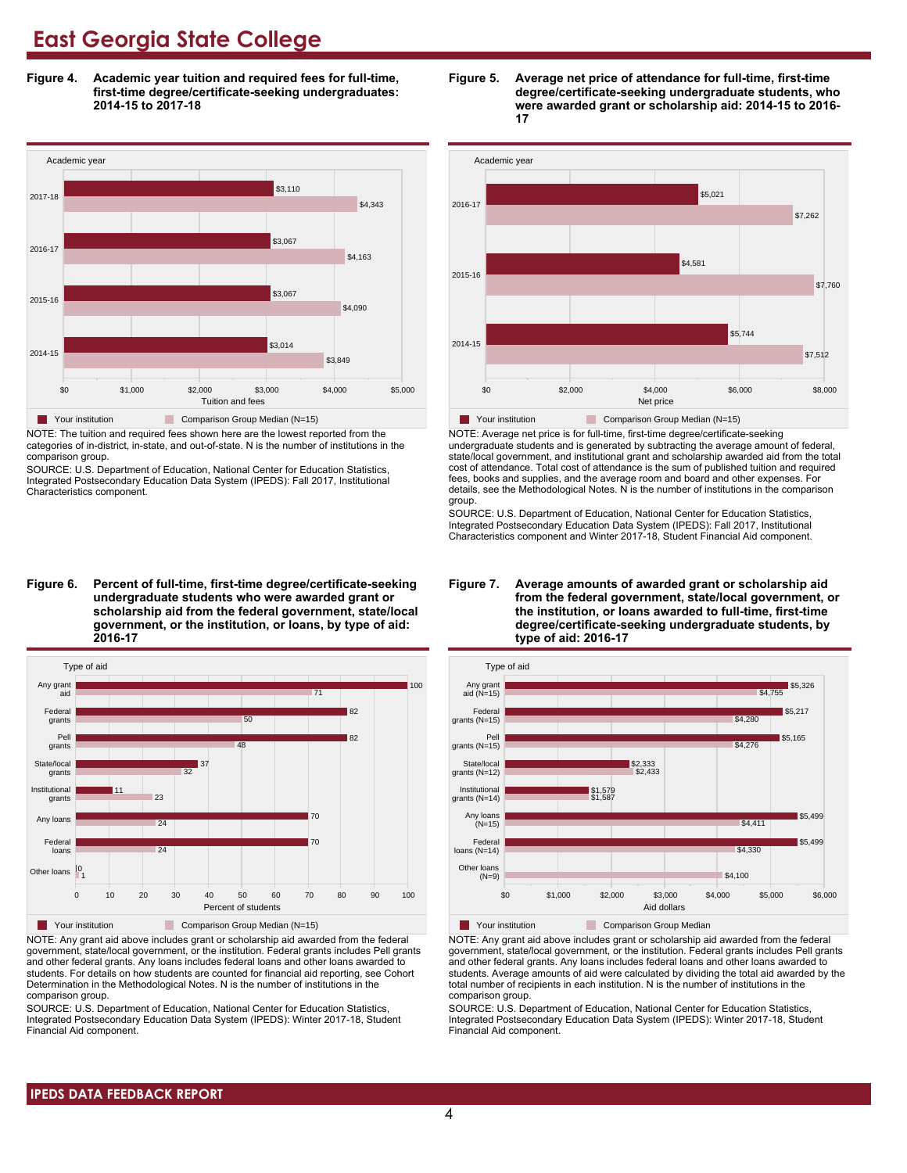**Figure 4. Academic year tuition and required fees for full-time, first-time degree/certificate-seeking undergraduates: 2014-15 to 2017-18**



NOTE: The tuition and required fees shown here are the lowest reported from the categories of in-district, in-state, and out-of-state. N is the number of institutions in the comparison group.

SOURCE: U.S. Department of Education, National Center for Education Statistics, Integrated Postsecondary Education Data System (IPEDS): Fall 2017, Institutional Characteristics component.

**Figure 6. Percent of full-time, first-time degree/certificate-seeking undergraduate students who were awarded grant or scholarship aid from the federal government, state/local government, or the institution, or loans, by type of aid: 2016-17**



NOTE: Any grant aid above includes grant or scholarship aid awarded from the federal government, state/local government, or the institution. Federal grants includes Pell grants and other federal grants. Any loans includes federal loans and other loans awarded to students. For details on how students are counted for financial aid reporting, see Cohort Determination in the Methodological Notes. N is the number of institutions in the comparison group.

SOURCE: U.S. Department of Education, National Center for Education Statistics, Integrated Postsecondary Education Data System (IPEDS): Winter 2017-18, Student Financial Aid component.





NOTE: Average net price is for full-time, first-time degree/certificate-seeking undergraduate students and is generated by subtracting the average amount of federal, state/local government, and institutional grant and scholarship awarded aid from the total cost of attendance. Total cost of attendance is the sum of published tuition and required fees, books and supplies, and the average room and board and other expenses. For details, see the Methodological Notes. N is the number of institutions in the comparison group.

SOURCE: U.S. Department of Education, National Center for Education Statistics, Integrated Postsecondary Education Data System (IPEDS): Fall 2017, Institutional Characteristics component and Winter 2017-18, Student Financial Aid component.





**The Your institution** Comparison Group Median

NOTE: Any grant aid above includes grant or scholarship aid awarded from the federal government, state/local government, or the institution. Federal grants includes Pell grants and other federal grants. Any loans includes federal loans and other loans awarded to students. Average amounts of aid were calculated by dividing the total aid awarded by the total number of recipients in each institution. N is the number of institutions in the comparison group.

SOURCE: U.S. Department of Education, National Center for Education Statistics, Integrated Postsecondary Education Data System (IPEDS): Winter 2017-18, Student Financial Aid component.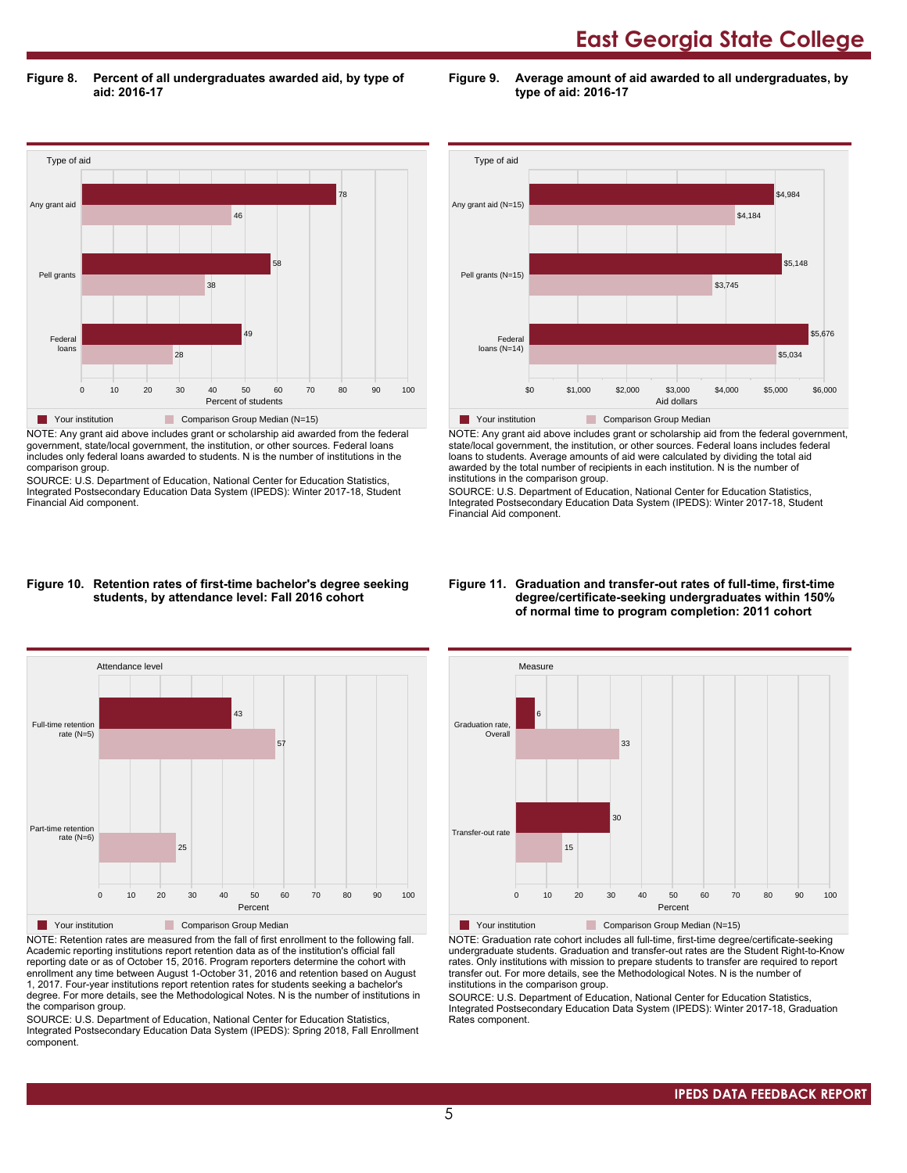**Figure 8. Percent of all undergraduates awarded aid, by type of aid: 2016-17**

Type of aid 0 10 20 30 40 50 60 70 80 90 100 Percent of students Federal loans Pell grants Any grant aid 28 49 38 58 46 78 **The Your institution** Comparison Group Median (N=15)

NOTE: Any grant aid above includes grant or scholarship aid awarded from the federal government, state/local government, the institution, or other sources. Federal loans includes only federal loans awarded to students. N is the number of institutions in the comparison group.

SOURCE: U.S. Department of Education, National Center for Education Statistics, Integrated Postsecondary Education Data System (IPEDS): Winter 2017-18, Student Financial Aid component.



**Figure 9. Average amount of aid awarded to all undergraduates, by**

**type of aid: 2016-17**

NOTE: Any grant aid above includes grant or scholarship aid from the federal government, state/local government, the institution, or other sources. Federal loans includes federal loans to students. Average amounts of aid were calculated by dividing the total aid awarded by the total number of recipients in each institution. N is the number of institutions in the comparison group.

SOURCE: U.S. Department of Education, National Center for Education Statistics, Integrated Postsecondary Education Data System (IPEDS): Winter 2017-18, Student Financial Aid component.

#### **Figure 10. Retention rates of first-time bachelor's degree seeking students, by attendance level: Fall 2016 cohort**



NOTE: Retention rates are measured from the fall of first enrollment to the following fall. Academic reporting institutions report retention data as of the institution's official fall reporting date or as of October 15, 2016. Program reporters determine the cohort with enrollment any time between August 1-October 31, 2016 and retention based on August 1, 2017. Four-year institutions report retention rates for students seeking a bachelor's degree. For more details, see the Methodological Notes. N is the number of institutions in the comparison group.

SOURCE: U.S. Department of Education, National Center for Education Statistics, Integrated Postsecondary Education Data System (IPEDS): Spring 2018, Fall Enrollment component.

#### **Figure 11. Graduation and transfer-out rates of full-time, first-time degree/certificate-seeking undergraduates within 150% of normal time to program completion: 2011 cohort**



NOTE: Graduation rate cohort includes all full-time, first-time degree/certificate-seeking undergraduate students. Graduation and transfer-out rates are the Student Right-to-Know rates. Only institutions with mission to prepare students to transfer are required to report transfer out. For more details, see the Methodological Notes. N is the number of institutions in the comparison group.

SOURCE: U.S. Department of Education, National Center for Education Statistics, Integrated Postsecondary Education Data System (IPEDS): Winter 2017-18, Graduation Rates component.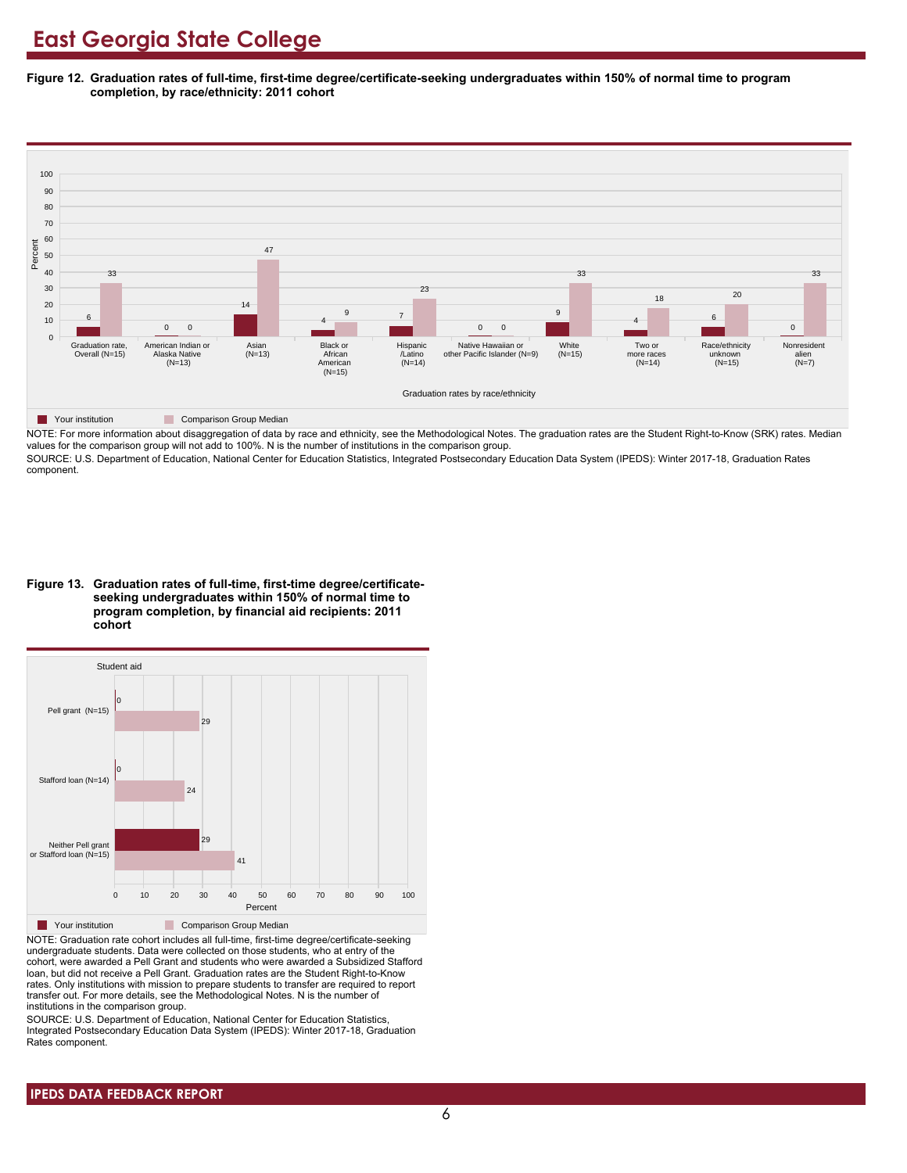**Figure 12. Graduation rates of full-time, first-time degree/certificate-seeking undergraduates within 150% of normal time to program completion, by race/ethnicity: 2011 cohort**



NOTE: For more information about disaggregation of data by race and ethnicity, see the Methodological Notes. The graduation rates are the Student Right-to-Know (SRK) rates. Median values for the comparison group will not add to 100%. N is the number of institutions in the comparison group.

SOURCE: U.S. Department of Education, National Center for Education Statistics, Integrated Postsecondary Education Data System (IPEDS): Winter 2017-18, Graduation Rates component.

**Figure 13. Graduation rates of full-time, first-time degree/certificateseeking undergraduates within 150% of normal time to program completion, by financial aid recipients: 2011 cohort**



NOTE: Graduation rate cohort includes all full-time, first-time degree/certificate-seeking undergraduate students. Data were collected on those students, who at entry of the cohort, were awarded a Pell Grant and students who were awarded a Subsidized Stafford loan, but did not receive a Pell Grant. Graduation rates are the Student Right-to-Know rates. Only institutions with mission to prepare students to transfer are required to report transfer out. For more details, see the Methodological Notes. N is the number of institutions in the comparison group.

SOURCE: U.S. Department of Education, National Center for Education Statistics, Integrated Postsecondary Education Data System (IPEDS): Winter 2017-18, Graduation Rates component.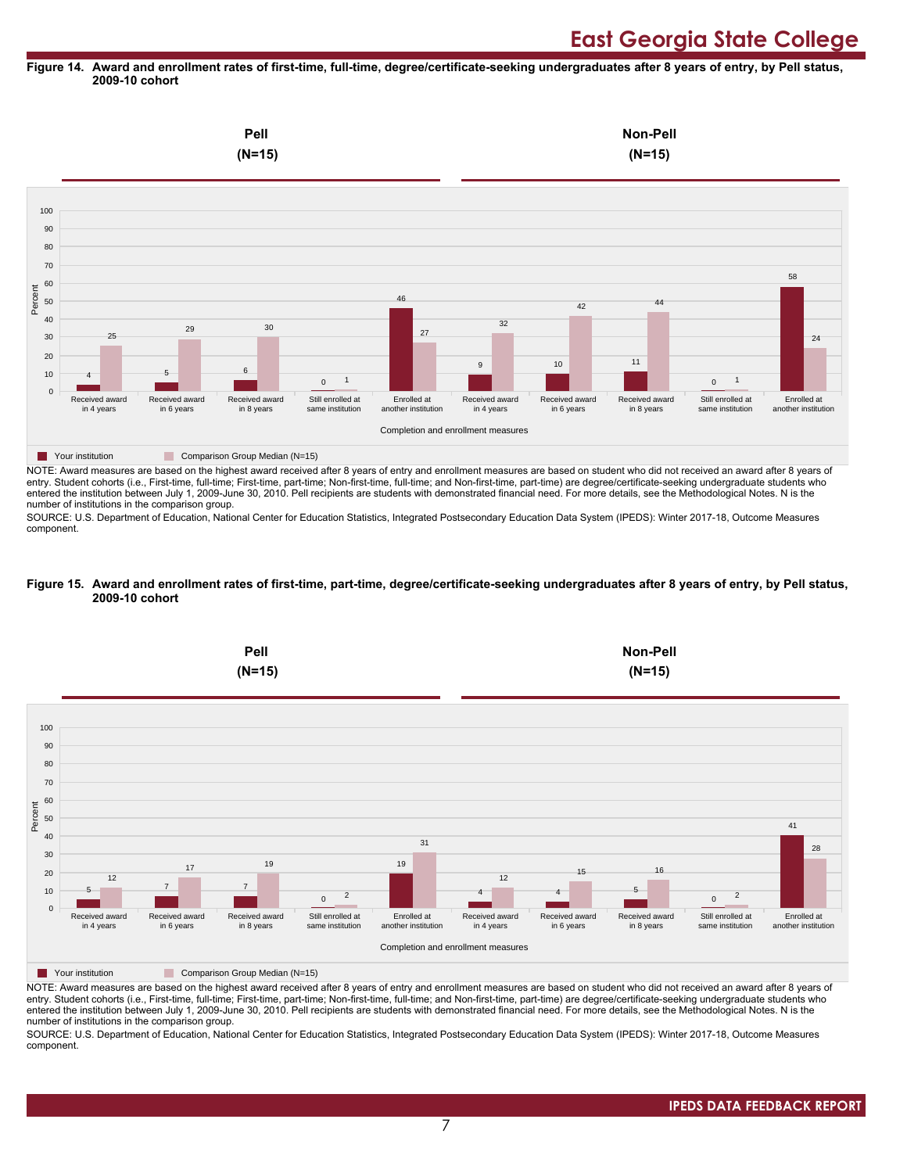#### **Figure 14. Award and enrollment rates of first-time, full-time, degree/certificate-seeking undergraduates after 8 years of entry, by Pell status, 2009-10 cohort**



NOTE: Award measures are based on the highest award received after 8 years of entry and enrollment measures are based on student who did not received an award after 8 years of entry. Student cohorts (i.e., First-time, full-time; First-time, part-time; Non-first-time, full-time; and Non-first-time, part-time) are degree/certificate-seeking undergraduate students who entered the institution between July 1, 2009-June 30, 2010. Pell recipients are students with demonstrated financial need. For more details, see the Methodological Notes. N is the number of institutions in the comparison group.

SOURCE: U.S. Department of Education, National Center for Education Statistics, Integrated Postsecondary Education Data System (IPEDS): Winter 2017-18, Outcome Measures component.

#### **Figure 15. Award and enrollment rates of first-time, part-time, degree/certificate-seeking undergraduates after 8 years of entry, by Pell status, 2009-10 cohort**



NOTE: Award measures are based on the highest award received after 8 years of entry and enrollment measures are based on student who did not received an award after 8 years of entry. Student cohorts (i.e., First-time, full-time; First-time, part-time; Non-first-time, full-time; and Non-first-time, part-time) are degree/certificate-seeking undergraduate students who entered the institution between July 1, 2009-June 30, 2010. Pell recipients are students with demonstrated financial need. For more details, see the Methodological Notes. N is the number of institutions in the comparison group.

SOURCE: U.S. Department of Education, National Center for Education Statistics, Integrated Postsecondary Education Data System (IPEDS): Winter 2017-18, Outcome Measures component.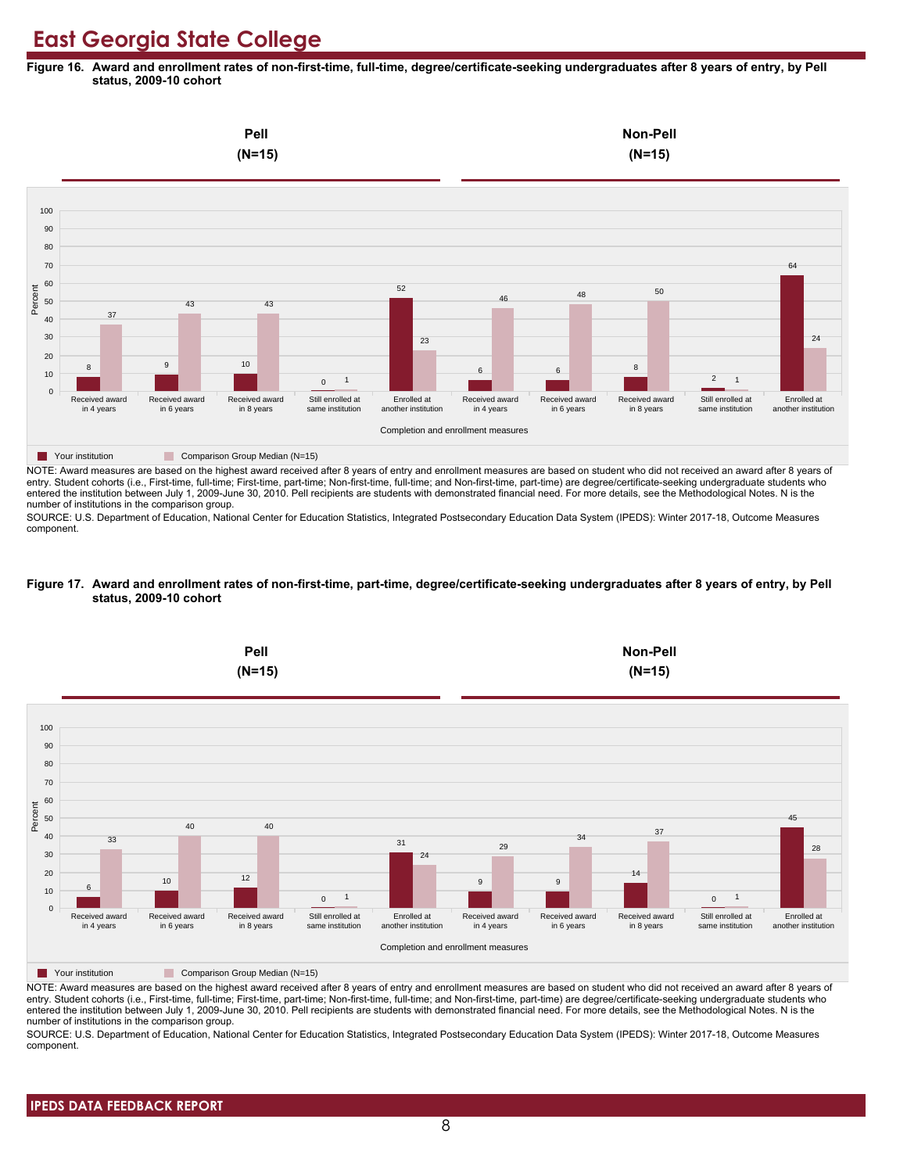**Figure 16. Award and enrollment rates of non-first-time, full-time, degree/certificate-seeking undergraduates after 8 years of entry, by Pell status, 2009-10 cohort**



NOTE: Award measures are based on the highest award received after 8 years of entry and enrollment measures are based on student who did not received an award after 8 years of entry. Student cohorts (i.e., First-time, full-time; First-time, part-time; Non-first-time, full-time; and Non-first-time, part-time) are degree/certificate-seeking undergraduate students who entered the institution between July 1, 2009-June 30, 2010. Pell recipients are students with demonstrated financial need. For more details, see the Methodological Notes. N is the number of institutions in the comparison group.

SOURCE: U.S. Department of Education, National Center for Education Statistics, Integrated Postsecondary Education Data System (IPEDS): Winter 2017-18, Outcome Measures component.

#### **Figure 17. Award and enrollment rates of non-first-time, part-time, degree/certificate-seeking undergraduates after 8 years of entry, by Pell status, 2009-10 cohort**



NOTE: Award measures are based on the highest award received after 8 years of entry and enrollment measures are based on student who did not received an award after 8 years of entry. Student cohorts (i.e., First-time, full-time; First-time, part-time; Non-first-time, full-time; and Non-first-time, part-time) are degree/certificate-seeking undergraduate students who entered the institution between July 1, 2009-June 30, 2010. Pell recipients are students with demonstrated financial need. For more details, see the Methodological Notes. N is the number of institutions in the comparison group.

SOURCE: U.S. Department of Education, National Center for Education Statistics, Integrated Postsecondary Education Data System (IPEDS): Winter 2017-18, Outcome Measures component.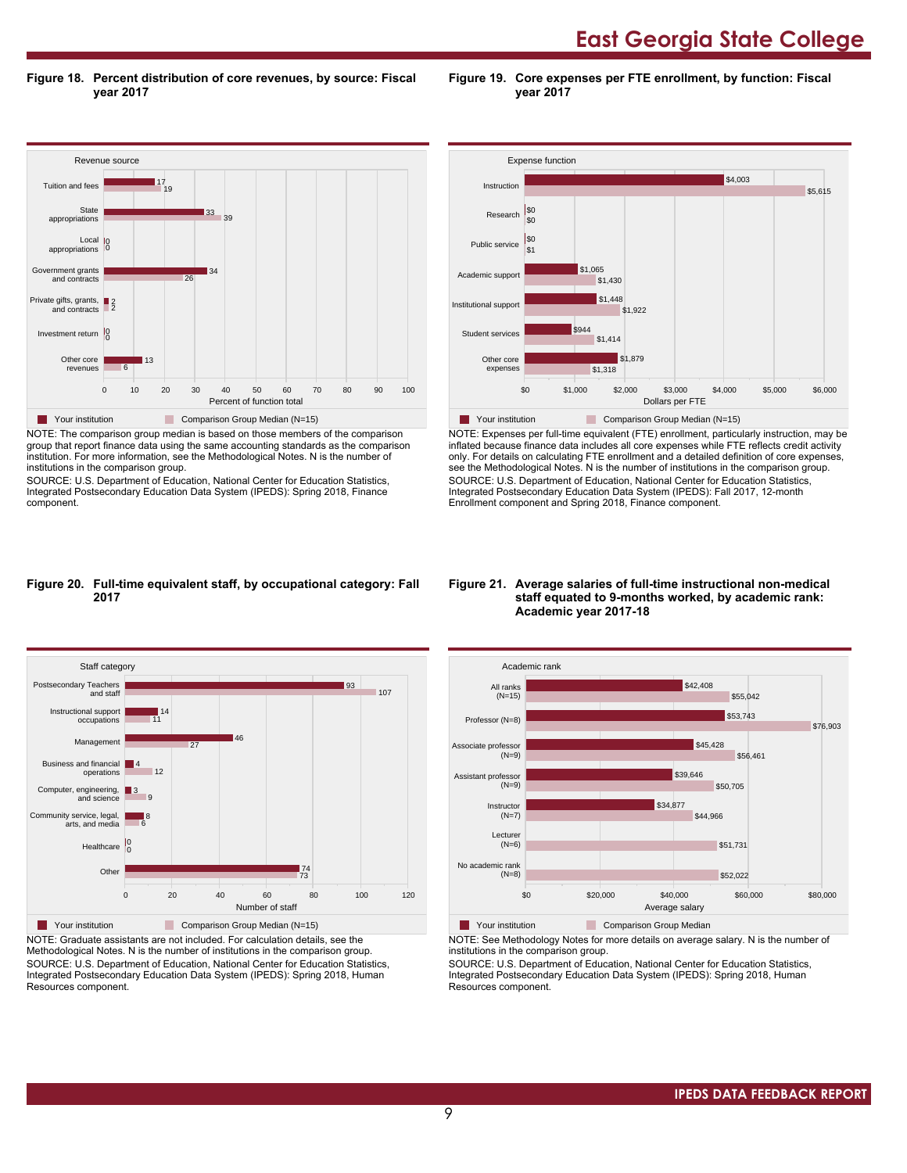**East Georgia State College** 

**Figure 18. Percent distribution of core revenues, by source: Fiscal year 2017**

**Figure 19. Core expenses per FTE enrollment, by function: Fiscal year 2017**



NOTE: The comparison group median is based on those members of the comparison group that report finance data using the same accounting standards as the comparison institution. For more information, see the Methodological Notes. N is the number of institutions in the comparison group.

SOURCE: U.S. Department of Education, National Center for Education Statistics, Integrated Postsecondary Education Data System (IPEDS): Spring 2018, Finance component.



NOTE: Expenses per full-time equivalent (FTE) enrollment, particularly instruction, may be inflated because finance data includes all core expenses while FTE reflects credit activity only. For details on calculating FTE enrollment and a detailed definition of core expenses, see the Methodological Notes. N is the number of institutions in the comparison group. SOURCE: U.S. Department of Education, National Center for Education Statistics, Integrated Postsecondary Education Data System (IPEDS): Fall 2017, 12-month Enrollment component and Spring 2018, Finance component.

#### **Figure 20. Full-time equivalent staff, by occupational category: Fall 2017**



NOTE: Graduate assistants are not included. For calculation details, see the Methodological Notes. N is the number of institutions in the comparison group. SOURCE: U.S. Department of Education, National Center for Education Statistics, Integrated Postsecondary Education Data System (IPEDS): Spring 2018, Human Resources component.

#### **Figure 21. Average salaries of full-time instructional non-medical staff equated to 9-months worked, by academic rank: Academic year 2017-18**



**The Your institution** Comparison Group Median

NOTE: See Methodology Notes for more details on average salary. N is the number of institutions in the comparison group.

SOURCE: U.S. Department of Education, National Center for Education Statistics, Integrated Postsecondary Education Data System (IPEDS): Spring 2018, Human Resources component.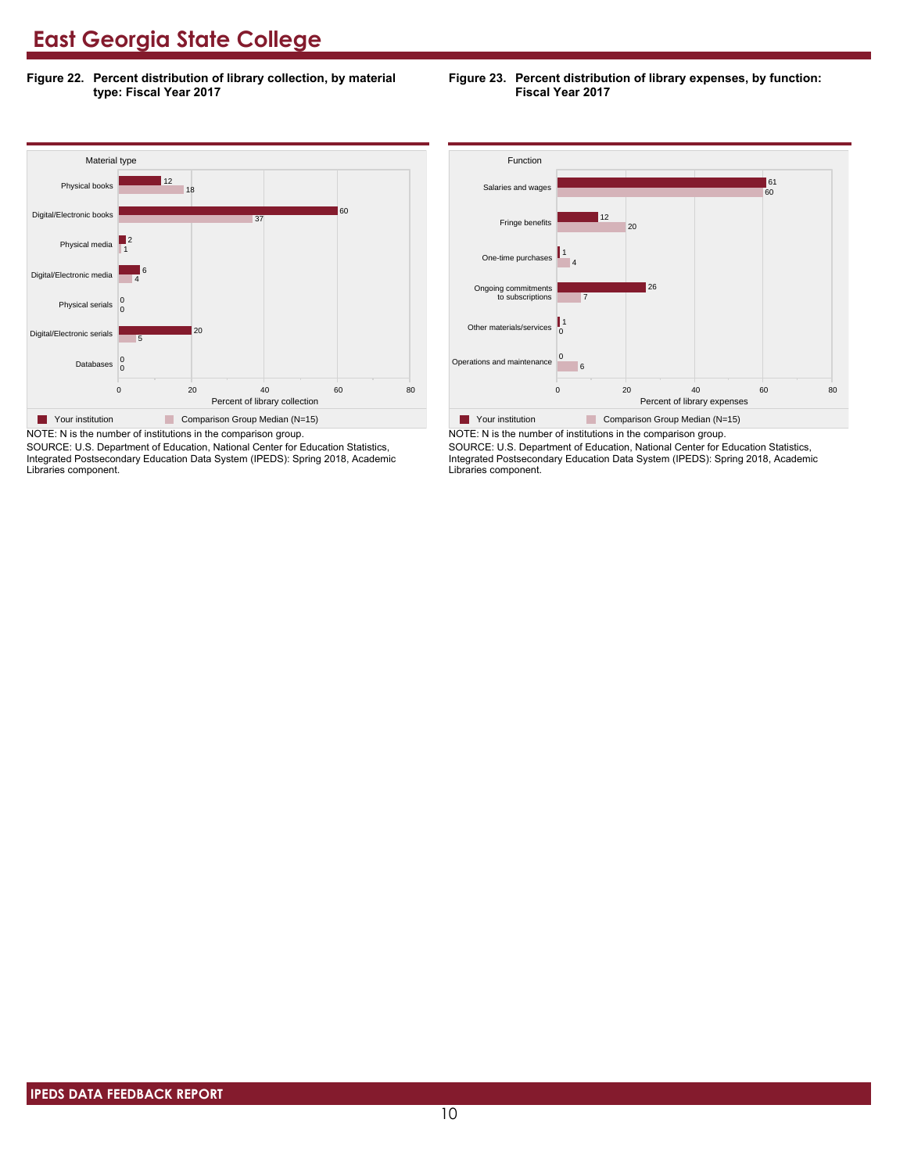**Figure 22. Percent distribution of library collection, by material type: Fiscal Year 2017**

### **Figure 23. Percent distribution of library expenses, by function: Fiscal Year 2017**



SOURCE: U.S. Department of Education, National Center for Education Statistics, Integrated Postsecondary Education Data System (IPEDS): Spring 2018, Academic Libraries component.



NOTE: N is the number of institutions in the comparison group. SOURCE: U.S. Department of Education, National Center for Education Statistics, Integrated Postsecondary Education Data System (IPEDS): Spring 2018, Academic Libraries component.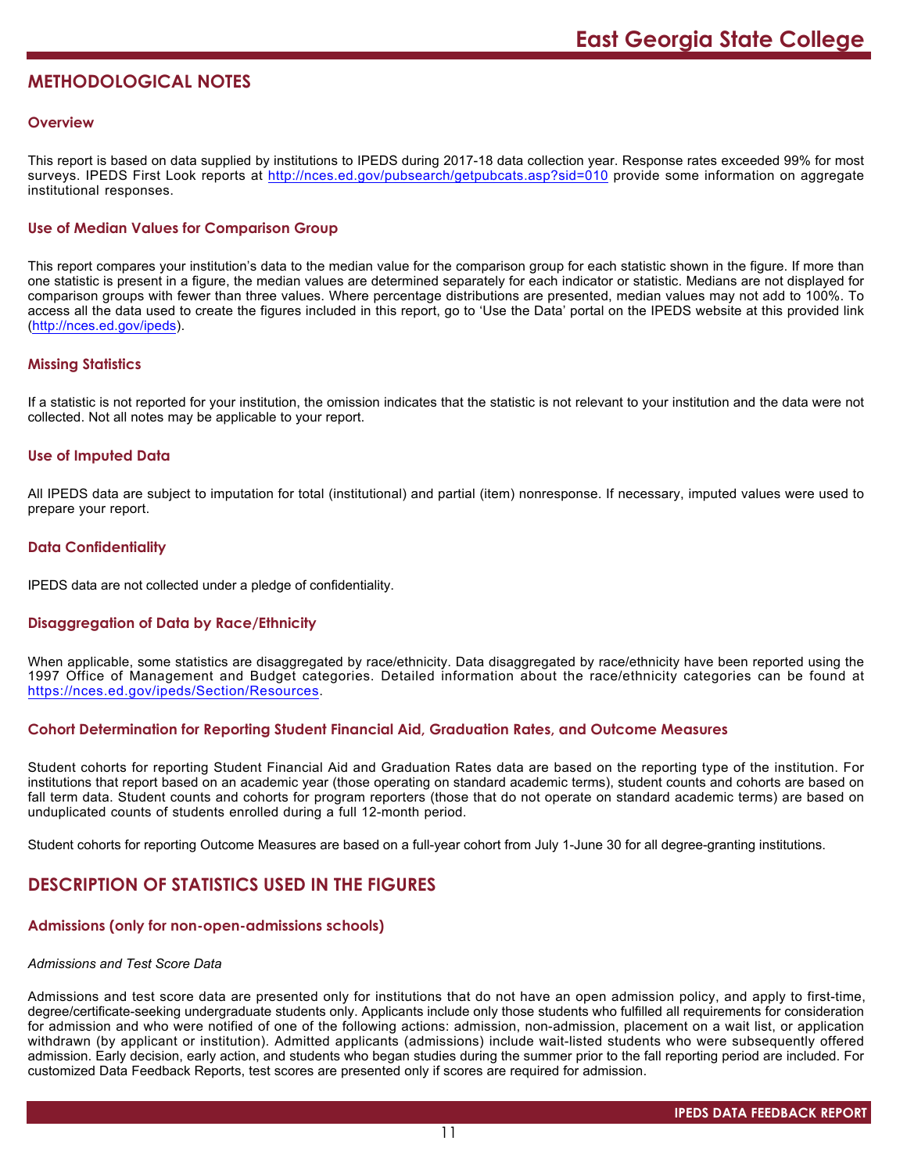# **METHODOLOGICAL NOTES**

### **Overview**

This report is based on data supplied by institutions to IPEDS during 2017-18 data collection year. Response rates exceeded 99% for most surveys. IPEDS First Look reports at <http://nces.ed.gov/pubsearch/getpubcats.asp?sid=010> provide some information on aggregate institutional responses.

# **Use of Median Values for Comparison Group**

This report compares your institution's data to the median value for the comparison group for each statistic shown in the figure. If more than one statistic is present in a figure, the median values are determined separately for each indicator or statistic. Medians are not displayed for comparison groups with fewer than three values. Where percentage distributions are presented, median values may not add to 100%. To access all the data used to create the figures included in this report, go to 'Use the Data' portal on the IPEDS website at this provided link (<http://nces.ed.gov/ipeds>).

# **Missing Statistics**

If a statistic is not reported for your institution, the omission indicates that the statistic is not relevant to your institution and the data were not collected. Not all notes may be applicable to your report.

# **Use of Imputed Data**

All IPEDS data are subject to imputation for total (institutional) and partial (item) nonresponse. If necessary, imputed values were used to prepare your report.

# **Data Confidentiality**

IPEDS data are not collected under a pledge of confidentiality.

# **Disaggregation of Data by Race/Ethnicity**

When applicable, some statistics are disaggregated by race/ethnicity. Data disaggregated by race/ethnicity have been reported using the 1997 Office of Management and Budget categories. Detailed information about the race/ethnicity categories can be found at <https://nces.ed.gov/ipeds/Section/Resources>.

### **Cohort Determination for Reporting Student Financial Aid, Graduation Rates, and Outcome Measures**

Student cohorts for reporting Student Financial Aid and Graduation Rates data are based on the reporting type of the institution. For institutions that report based on an academic year (those operating on standard academic terms), student counts and cohorts are based on fall term data. Student counts and cohorts for program reporters (those that do not operate on standard academic terms) are based on unduplicated counts of students enrolled during a full 12-month period.

Student cohorts for reporting Outcome Measures are based on a full-year cohort from July 1-June 30 for all degree-granting institutions.

# **DESCRIPTION OF STATISTICS USED IN THE FIGURES**

#### **Admissions (only for non-open-admissions schools)**

#### *Admissions and Test Score Data*

Admissions and test score data are presented only for institutions that do not have an open admission policy, and apply to first-time, degree/certificate-seeking undergraduate students only. Applicants include only those students who fulfilled all requirements for consideration for admission and who were notified of one of the following actions: admission, non-admission, placement on a wait list, or application withdrawn (by applicant or institution). Admitted applicants (admissions) include wait-listed students who were subsequently offered admission. Early decision, early action, and students who began studies during the summer prior to the fall reporting period are included. For customized Data Feedback Reports, test scores are presented only if scores are required for admission.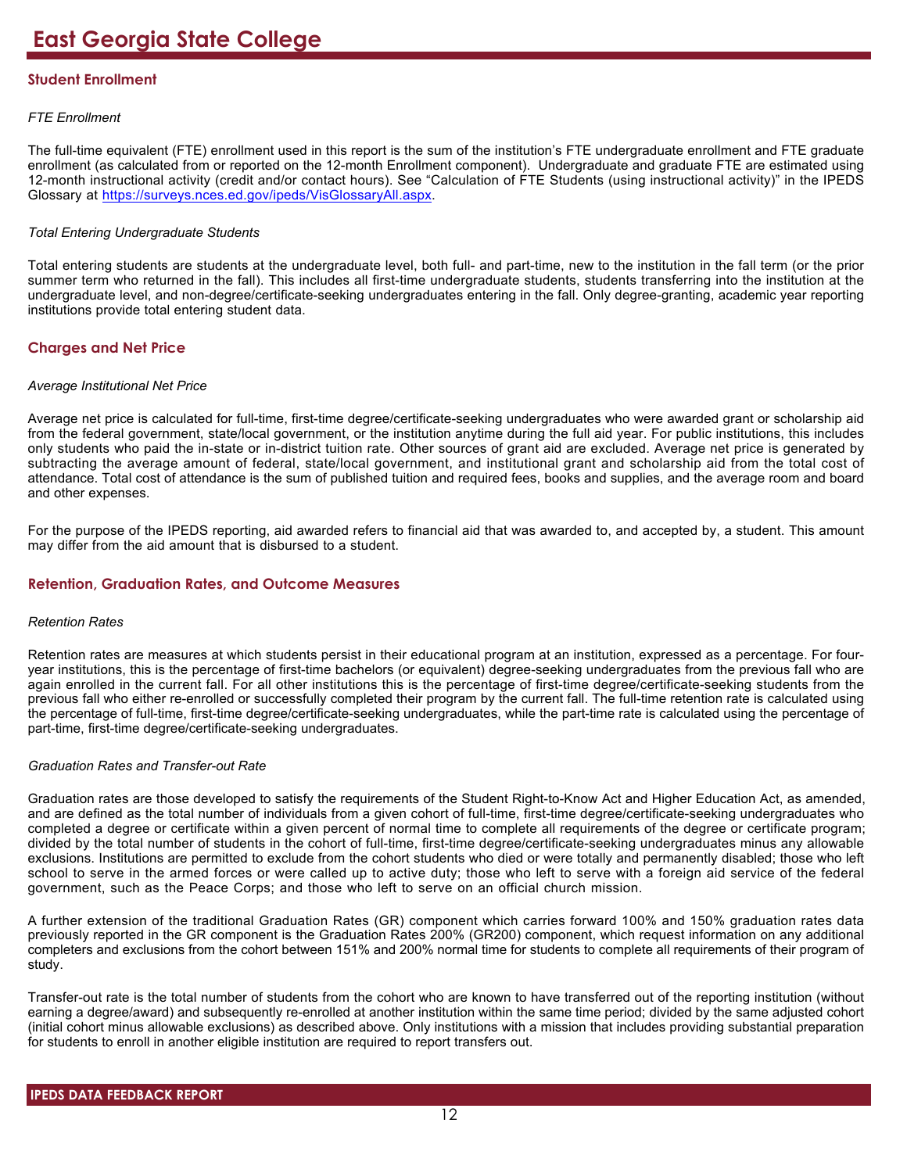# **Student Enrollment**

# *FTE Enrollment*

The full-time equivalent (FTE) enrollment used in this report is the sum of the institution's FTE undergraduate enrollment and FTE graduate enrollment (as calculated from or reported on the 12-month Enrollment component). Undergraduate and graduate FTE are estimated using 12-month instructional activity (credit and/or contact hours). See "Calculation of FTE Students (using instructional activity)" in the IPEDS Glossary at <https://surveys.nces.ed.gov/ipeds/VisGlossaryAll.aspx>.

# *Total Entering Undergraduate Students*

Total entering students are students at the undergraduate level, both full- and part-time, new to the institution in the fall term (or the prior summer term who returned in the fall). This includes all first-time undergraduate students, students transferring into the institution at the undergraduate level, and non-degree/certificate-seeking undergraduates entering in the fall. Only degree-granting, academic year reporting institutions provide total entering student data.

# **Charges and Net Price**

### *Average Institutional Net Price*

Average net price is calculated for full-time, first-time degree/certificate-seeking undergraduates who were awarded grant or scholarship aid from the federal government, state/local government, or the institution anytime during the full aid year. For public institutions, this includes only students who paid the in-state or in-district tuition rate. Other sources of grant aid are excluded. Average net price is generated by subtracting the average amount of federal, state/local government, and institutional grant and scholarship aid from the total cost of attendance. Total cost of attendance is the sum of published tuition and required fees, books and supplies, and the average room and board and other expenses.

For the purpose of the IPEDS reporting, aid awarded refers to financial aid that was awarded to, and accepted by, a student. This amount may differ from the aid amount that is disbursed to a student.

# **Retention, Graduation Rates, and Outcome Measures**

#### *Retention Rates*

Retention rates are measures at which students persist in their educational program at an institution, expressed as a percentage. For fouryear institutions, this is the percentage of first-time bachelors (or equivalent) degree-seeking undergraduates from the previous fall who are again enrolled in the current fall. For all other institutions this is the percentage of first-time degree/certificate-seeking students from the previous fall who either re-enrolled or successfully completed their program by the current fall. The full-time retention rate is calculated using the percentage of full-time, first-time degree/certificate-seeking undergraduates, while the part-time rate is calculated using the percentage of part-time, first-time degree/certificate-seeking undergraduates.

# *Graduation Rates and Transfer-out Rate*

Graduation rates are those developed to satisfy the requirements of the Student Right-to-Know Act and Higher Education Act, as amended, and are defined as the total number of individuals from a given cohort of full-time, first-time degree/certificate-seeking undergraduates who completed a degree or certificate within a given percent of normal time to complete all requirements of the degree or certificate program; divided by the total number of students in the cohort of full-time, first-time degree/certificate-seeking undergraduates minus any allowable exclusions. Institutions are permitted to exclude from the cohort students who died or were totally and permanently disabled; those who left school to serve in the armed forces or were called up to active duty; those who left to serve with a foreign aid service of the federal government, such as the Peace Corps; and those who left to serve on an official church mission.

A further extension of the traditional Graduation Rates (GR) component which carries forward 100% and 150% graduation rates data previously reported in the GR component is the Graduation Rates 200% (GR200) component, which request information on any additional completers and exclusions from the cohort between 151% and 200% normal time for students to complete all requirements of their program of study.

Transfer-out rate is the total number of students from the cohort who are known to have transferred out of the reporting institution (without earning a degree/award) and subsequently re-enrolled at another institution within the same time period; divided by the same adjusted cohort (initial cohort minus allowable exclusions) as described above. Only institutions with a mission that includes providing substantial preparation for students to enroll in another eligible institution are required to report transfers out.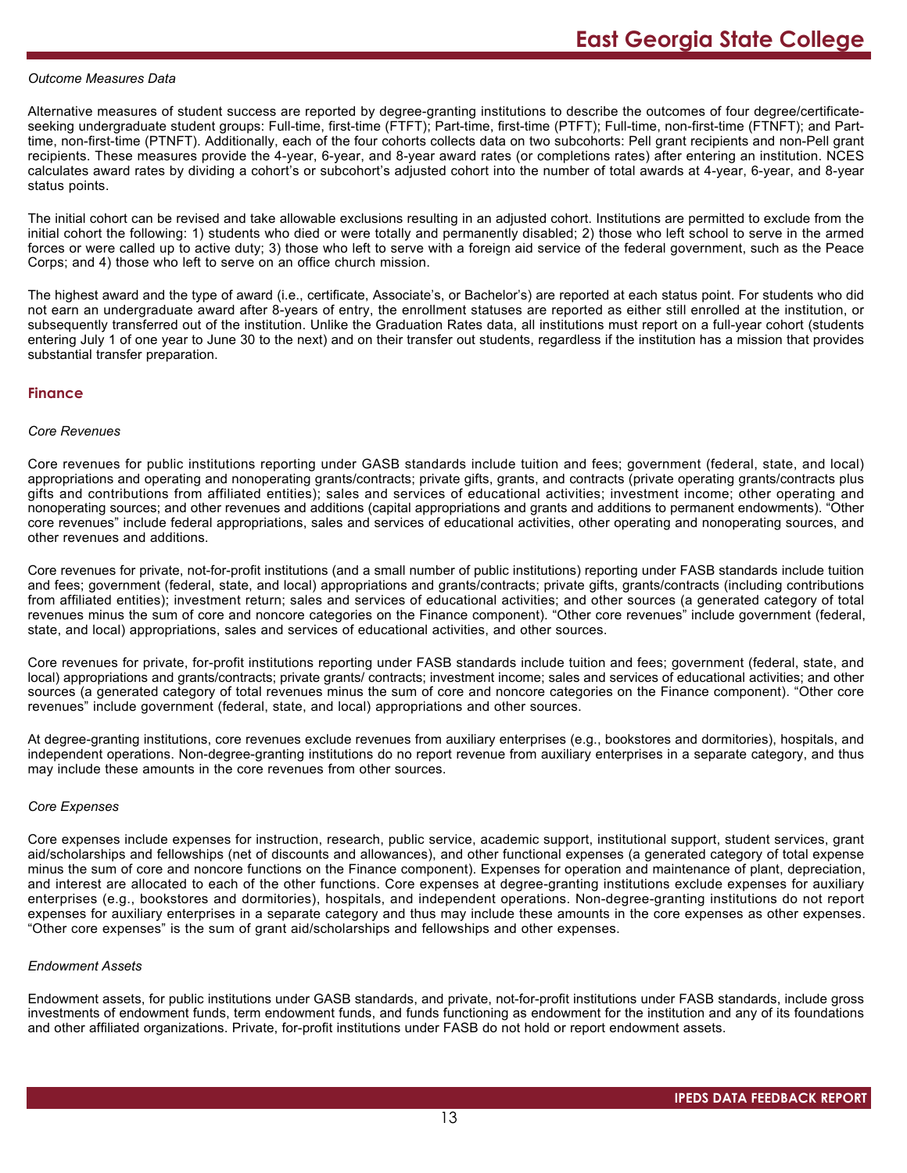#### *Outcome Measures Data*

Alternative measures of student success are reported by degree-granting institutions to describe the outcomes of four degree/certificateseeking undergraduate student groups: Full-time, first-time (FTFT); Part-time, first-time (PTFT); Full-time, non-first-time (FTNFT); and Parttime, non-first-time (PTNFT). Additionally, each of the four cohorts collects data on two subcohorts: Pell grant recipients and non-Pell grant recipients. These measures provide the 4-year, 6-year, and 8-year award rates (or completions rates) after entering an institution. NCES calculates award rates by dividing a cohort's or subcohort's adjusted cohort into the number of total awards at 4-year, 6-year, and 8-year status points.

The initial cohort can be revised and take allowable exclusions resulting in an adjusted cohort. Institutions are permitted to exclude from the initial cohort the following: 1) students who died or were totally and permanently disabled; 2) those who left school to serve in the armed forces or were called up to active duty; 3) those who left to serve with a foreign aid service of the federal government, such as the Peace Corps; and 4) those who left to serve on an office church mission.

The highest award and the type of award (i.e., certificate, Associate's, or Bachelor's) are reported at each status point. For students who did not earn an undergraduate award after 8-years of entry, the enrollment statuses are reported as either still enrolled at the institution, or subsequently transferred out of the institution. Unlike the Graduation Rates data, all institutions must report on a full-year cohort (students entering July 1 of one year to June 30 to the next) and on their transfer out students, regardless if the institution has a mission that provides substantial transfer preparation.

#### **Finance**

#### *Core Revenues*

Core revenues for public institutions reporting under GASB standards include tuition and fees; government (federal, state, and local) appropriations and operating and nonoperating grants/contracts; private gifts, grants, and contracts (private operating grants/contracts plus gifts and contributions from affiliated entities); sales and services of educational activities; investment income; other operating and nonoperating sources; and other revenues and additions (capital appropriations and grants and additions to permanent endowments). "Other core revenues" include federal appropriations, sales and services of educational activities, other operating and nonoperating sources, and other revenues and additions.

Core revenues for private, not-for-profit institutions (and a small number of public institutions) reporting under FASB standards include tuition and fees; government (federal, state, and local) appropriations and grants/contracts; private gifts, grants/contracts (including contributions from affiliated entities); investment return; sales and services of educational activities; and other sources (a generated category of total revenues minus the sum of core and noncore categories on the Finance component). "Other core revenues" include government (federal, state, and local) appropriations, sales and services of educational activities, and other sources.

Core revenues for private, for-profit institutions reporting under FASB standards include tuition and fees; government (federal, state, and local) appropriations and grants/contracts; private grants/ contracts; investment income; sales and services of educational activities; and other sources (a generated category of total revenues minus the sum of core and noncore categories on the Finance component). "Other core revenues" include government (federal, state, and local) appropriations and other sources.

At degree-granting institutions, core revenues exclude revenues from auxiliary enterprises (e.g., bookstores and dormitories), hospitals, and independent operations. Non-degree-granting institutions do no report revenue from auxiliary enterprises in a separate category, and thus may include these amounts in the core revenues from other sources.

#### *Core Expenses*

Core expenses include expenses for instruction, research, public service, academic support, institutional support, student services, grant aid/scholarships and fellowships (net of discounts and allowances), and other functional expenses (a generated category of total expense minus the sum of core and noncore functions on the Finance component). Expenses for operation and maintenance of plant, depreciation, and interest are allocated to each of the other functions. Core expenses at degree-granting institutions exclude expenses for auxiliary enterprises (e.g., bookstores and dormitories), hospitals, and independent operations. Non-degree-granting institutions do not report expenses for auxiliary enterprises in a separate category and thus may include these amounts in the core expenses as other expenses. "Other core expenses" is the sum of grant aid/scholarships and fellowships and other expenses.

#### *Endowment Assets*

Endowment assets, for public institutions under GASB standards, and private, not-for-profit institutions under FASB standards, include gross investments of endowment funds, term endowment funds, and funds functioning as endowment for the institution and any of its foundations and other affiliated organizations. Private, for-profit institutions under FASB do not hold or report endowment assets.